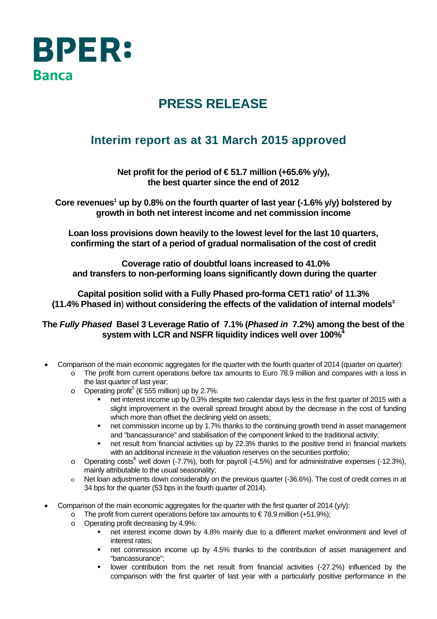

## **PRESS RELEASE**

## **Interim report as at 31 March 2015 approved**

Net profit for the period of €51.7 million (+65.6% y/y), **the best quarter since the end of 2012** 

Core revenues<sup>1</sup> up by 0.8% on the fourth quarter of last year (-1.6% y/y) bolstered by **growth in both net interest income and net commission income** 

**Loan loss provisions down heavily to the lowest level for the last 10 quarters, confirming the start of a period of gradual normalisation of the cost of credit** 

 **Coverage ratio of doubtful loans increased to 41.0% and transfers to non-performing loans significantly down during the quarter** 

**Capital position solid with a Fully Phased pro-forma CET1 ratio2 of 11.3% (11.4% Phased in**) **without considering the effects of the validation of internal models3**

**The** *Fully Phased* **Basel 3 Leverage Ratio of 7.1% (***Phased in* **7.2%) among the best of the system with LCR and NSFR liquidity indices well over 100%4**

- Comparison of the main economic aggregates for the quarter with the fourth quarter of 2014 (quarter on quarter):
	- o The profit from current operations before tax amounts to Euro 78.9 million and compares with a loss in the last quarter of last year;
	- o Operating profit<sup>5</sup> (€555 million) up by 2.7%:
		- net interest income up by 0.3% despite two calendar days less in the first quarter of 2015 with a slight improvement in the overall spread brought about by the decrease in the cost of funding which more than offset the declining yield on assets;
		- net commission income up by 1.7% thanks to the continuing growth trend in asset management and "bancassurance" and stabilisation of the component linked to the traditional activity;
		- net result from financial activities up by 22.3% thanks to the positive trend in financial markets with an additional increase in the valuation reserves on the securities portfolio;
	- o Operating costs<sup>6</sup> well down (-7.7%), both for payroll (-4.5%) and for administrative expenses (-12.3%), mainly attributable to the usual seasonality;
	- $\circ$  Net loan adjustments down considerably on the previous quarter (-36.6%). The cost of credit comes in at 34 bps for the quarter (53 bps in the fourth quarter of 2014).
- Comparison of the main economic aggregates for the quarter with the first quarter of 2014 (y/y):
	- o The profit from current operations before tax amounts to  $\epsilon$ 78.9 million (+51.9%);
	- o Operating profit decreasing by 4.9%:
		- net interest income down by 4.8% mainly due to a different market environment and level of interest rates;
		- net commission income up by 4.5% thanks to the contribution of asset management and "bancassurance";
		- lower contribution from the net result from financial activities (-27.2%) influenced by the comparison with the first quarter of last year with a particularly positive performance in the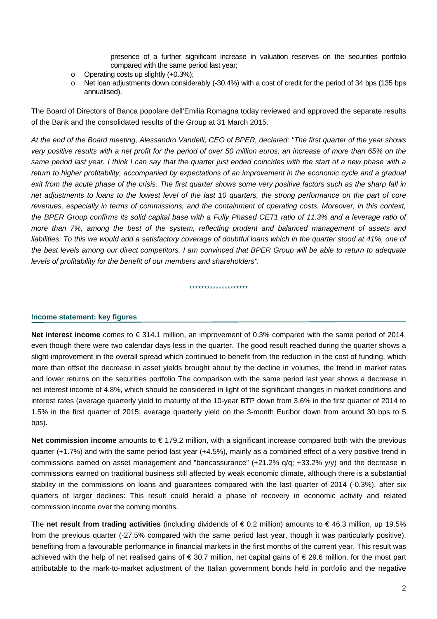presence of a further significant increase in valuation reserves on the securities portfolio compared with the same period last year;

- o Operating costs up slightly (+0.3%);
- o Net loan adjustments down considerably (-30.4%) with a cost of credit for the period of 34 bps (135 bps annualised).

The Board of Directors of Banca popolare dell'Emilia Romagna today reviewed and approved the separate results of the Bank and the consolidated results of the Group at 31 March 2015.

*At the end of the Board meeting, Alessandro Vandelli, CEO of BPER, declared: "The first quarter of the year shows very positive results with a net profit for the period of over 50 million euros, an increase of more than 65% on the same period last year. I think I can say that the quarter just ended coincides with the start of a new phase with a return to higher profitability, accompanied by expectations of an improvement in the economic cycle and a gradual exit from the acute phase of the crisis. The first quarter shows some very positive factors such as the sharp fall in net adjustments to loans to the lowest level of the last 10 quarters, the strong performance on the part of core revenues, especially in terms of commissions, and the containment of operating costs. Moreover, in this context, the BPER Group confirms its solid capital base with a Fully Phased CET1 ratio of 11.3% and a leverage ratio of more than 7%, among the best of the system, reflecting prudent and balanced management of assets and*  liabilities. To this we would add a satisfactory coverage of doubtful loans which in the quarter stood at 41%, one of *the best levels among our direct competitors. I am convinced that BPER Group will be able to return to adequate levels of profitability for the benefit of our members and shareholders".* 

\*\*\*\*\*\*\*\*\*\*\*\*\*\*\*\*\*\*\*\*

### **Income statement: key figures**

**Net interest income** comes to € 314.1 million, an improvement of 0.3% compared with the same period of 2014, even though there were two calendar days less in the quarter. The good result reached during the quarter shows a slight improvement in the overall spread which continued to benefit from the reduction in the cost of funding, which more than offset the decrease in asset yields brought about by the decline in volumes, the trend in market rates and lower returns on the securities portfolio The comparison with the same period last year shows a decrease in net interest income of 4.8%, which should be considered in light of the significant changes in market conditions and interest rates (average quarterly yield to maturity of the 10-year BTP down from 3.6% in the first quarter of 2014 to 1.5% in the first quarter of 2015; average quarterly yield on the 3-month Euribor down from around 30 bps to 5 bps).

**Net commission income** amounts to € 179.2 million, with a significant increase compared both with the previous quarter (+1.7%) and with the same period last year (+4.5%), mainly as a combined effect of a very positive trend in commissions earned on asset management and "bancassurance" (+21.2% q/q; +33.2% y/y) and the decrease in commissions earned on traditional business still affected by weak economic climate, although there is a substantial stability in the commissions on loans and guarantees compared with the last quarter of 2014 (-0.3%), after six quarters of larger declines: This result could herald a phase of recovery in economic activity and related commission income over the coming months.

The **net result from trading activities** (including dividends of € 0.2 million) amounts to € 46.3 million, up 19.5% from the previous quarter (-27.5% compared with the same period last year, though it was particularly positive), benefiting from a favourable performance in financial markets in the first months of the current year. This result was achieved with the help of net realised gains of € 30.7 million, net capital gains of € 29.6 million, for the most part attributable to the mark-to-market adjustment of the Italian government bonds held in portfolio and the negative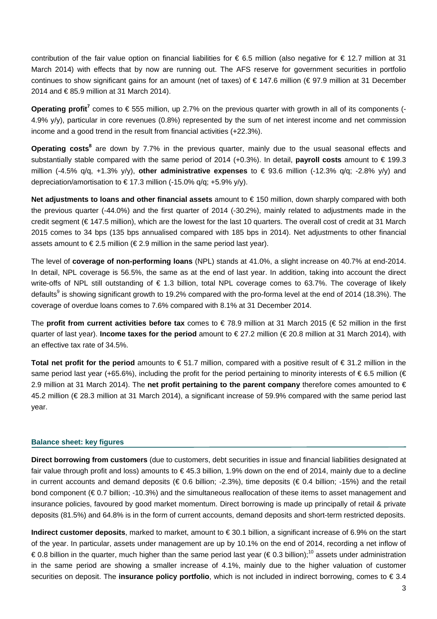contribution of the fair value option on financial liabilities for  $\epsilon$  6.5 million (also negative for  $\epsilon$  12.7 million at 31 March 2014) with effects that by now are running out. The AFS reserve for government securities in portfolio continues to show significant gains for an amount (net of taxes) of € 147.6 million (€ 97.9 million at 31 December 2014 and € 85.9 million at 31 March 2014).

**Operating profit<sup>7</sup>** comes to € 555 million, up 2.7% on the previous quarter with growth in all of its components (-4.9% y/y), particular in core revenues (0.8%) represented by the sum of net interest income and net commission income and a good trend in the result from financial activities (+22.3%).

Operating costs<sup>8</sup> are down by 7.7% in the previous quarter, mainly due to the usual seasonal effects and substantially stable compared with the same period of 2014 (+0.3%). In detail, **payroll costs** amount to € 199.3 million (-4.5% q/q, +1.3% y/y), **other administrative expenses** to € 93.6 million (-12.3% q/q; -2.8% y/y) and depreciation/amortisation to  $\in$  17.3 million (-15.0% q/q; +5.9% y/y).

**Net adjustments to loans and other financial assets** amount to € 150 million, down sharply compared with both the previous quarter (-44.0%) and the first quarter of 2014 (-30.2%), mainly related to adjustments made in the credit segment (€ 147.5 million), which are the lowest for the last 10 quarters. The overall cost of credit at 31 March 2015 comes to 34 bps (135 bps annualised compared with 185 bps in 2014). Net adjustments to other financial assets amount to  $\epsilon$  2.5 million ( $\epsilon$  2.9 million in the same period last year).

The level of **coverage of non-performing loans** (NPL) stands at 41.0%, a slight increase on 40.7% at end-2014. In detail, NPL coverage is 56.5%, the same as at the end of last year. In addition, taking into account the direct write-offs of NPL still outstanding of € 1.3 billion, total NPL coverage comes to 63.7%. The coverage of likely defaults<sup>9</sup> is showing significant growth to 19.2% compared with the pro-forma level at the end of 2014 (18.3%). The coverage of overdue loans comes to 7.6% compared with 8.1% at 31 December 2014.

The **profit from current activities before tax** comes to € 78.9 million at 31 March 2015 (€ 52 million in the first quarter of last year). **Income taxes for the period** amount to € 27.2 million (€ 20.8 million at 31 March 2014), with an effective tax rate of 34.5%.

**Total net profit for the period** amounts to € 51.7 million, compared with a positive result of € 31.2 million in the same period last year (+65.6%), including the profit for the period pertaining to minority interests of  $\in$  6.5 million ( $\in$ 2.9 million at 31 March 2014). The **net profit pertaining to the parent company** therefore comes amounted to € 45.2 million (€ 28.3 million at 31 March 2014), a significant increase of 59.9% compared with the same period last year.

### **Balance sheet: key figures**

**Direct borrowing from customers** (due to customers, debt securities in issue and financial liabilities designated at fair value through profit and loss) amounts to € 45.3 billion, 1.9% down on the end of 2014, mainly due to a decline in current accounts and demand deposits ( $\in$  0.6 billion; -2.3%), time deposits ( $\in$  0.4 billion; -15%) and the retail bond component (€ 0.7 billion; -10.3%) and the simultaneous reallocation of these items to asset management and insurance policies, favoured by good market momentum. Direct borrowing is made up principally of retail & private deposits (81.5%) and 64.8% is in the form of current accounts, demand deposits and short-term restricted deposits.

**Indirect customer deposits**, marked to market, amount to € 30.1 billion, a significant increase of 6.9% on the start of the year. In particular, assets under management are up by 10.1% on the end of 2014, recording a net inflow of € 0.8 billion in the quarter, much higher than the same period last year (€ 0.3 billion);<sup>10</sup> assets under administration in the same period are showing a smaller increase of 4.1%, mainly due to the higher valuation of customer securities on deposit. The **insurance policy portfolio**, which is not included in indirect borrowing, comes to € 3.4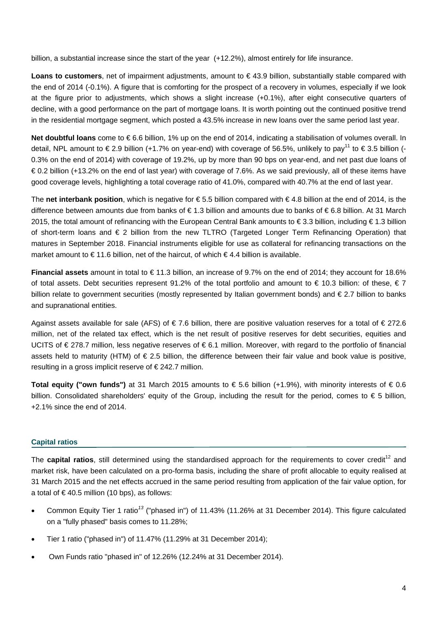billion, a substantial increase since the start of the year (+12.2%), almost entirely for life insurance.

**Loans to customers**, net of impairment adjustments, amount to € 43.9 billion, substantially stable compared with the end of 2014 (-0.1%). A figure that is comforting for the prospect of a recovery in volumes, especially if we look at the figure prior to adjustments, which shows a slight increase (+0.1%), after eight consecutive quarters of decline, with a good performance on the part of mortgage loans. It is worth pointing out the continued positive trend in the residential mortgage segment, which posted a 43.5% increase in new loans over the same period last year.

**Net doubtful loans** come to € 6.6 billion, 1% up on the end of 2014, indicating a stabilisation of volumes overall. In detail, NPL amount to  $\in$  2.9 billion (+1.7% on year-end) with coverage of 56.5%, unlikely to pay<sup>11</sup> to  $\in$  3.5 billion (-0.3% on the end of 2014) with coverage of 19.2%, up by more than 90 bps on year-end, and net past due loans of € 0.2 billion (+13.2% on the end of last year) with coverage of 7.6%. As we said previously, all of these items have good coverage levels, highlighting a total coverage ratio of 41.0%, compared with 40.7% at the end of last year.

The **net interbank position**, which is negative for € 5.5 billion compared with € 4.8 billion at the end of 2014, is the difference between amounts due from banks of € 1.3 billion and amounts due to banks of € 6.8 billion. At 31 March 2015, the total amount of refinancing with the European Central Bank amounts to €3.3 billion, including €1.3 billion of short-term loans and € 2 billion from the new TLTRO (Targeted Longer Term Refinancing Operation) that matures in September 2018. Financial instruments eligible for use as collateral for refinancing transactions on the market amount to €11.6 billion, net of the haircut, of which €4.4 billion is available.

**Financial assets** amount in total to € 11.3 billion, an increase of 9.7% on the end of 2014; they account for 18.6% of total assets. Debt securities represent 91.2% of the total portfolio and amount to  $\epsilon$  10.3 billion: of these,  $\epsilon$  7 billion relate to government securities (mostly represented by Italian government bonds) and € 2.7 billion to banks and supranational entities.

Against assets available for sale (AFS) of  $\epsilon$  7.6 billion, there are positive valuation reserves for a total of  $\epsilon$  272.6 million, net of the related tax effect, which is the net result of positive reserves for debt securities, equities and UCITS of € 278.7 million, less negative reserves of € 6.1 million. Moreover, with regard to the portfolio of financial assets held to maturity (HTM) of  $\epsilon$  2.5 billion, the difference between their fair value and book value is positive, resulting in a gross implicit reserve of € 242.7 million.

**Total equity ("own funds")** at 31 March 2015 amounts to € 5.6 billion (+1.9%), with minority interests of € 0.6 billion. Consolidated shareholders' equity of the Group, including the result for the period, comes to € 5 billion, +2.1% since the end of 2014.

### **Capital ratios**

The **capital ratios**, still determined using the standardised approach for the requirements to cover credit<sup>12</sup> and market risk, have been calculated on a pro-forma basis, including the share of profit allocable to equity realised at 31 March 2015 and the net effects accrued in the same period resulting from application of the fair value option, for a total of  $\epsilon$  40.5 million (10 bps), as follows:

- Common Equity Tier 1 ratio*<sup>13</sup>* ("phased in") of 11.43% (11.26% at 31 December 2014). This figure calculated on a "fully phased" basis comes to 11.28%;
- Tier 1 ratio ("phased in") of 11.47% (11.29% at 31 December 2014);
- Own Funds ratio "phased in" of 12.26% (12.24% at 31 December 2014).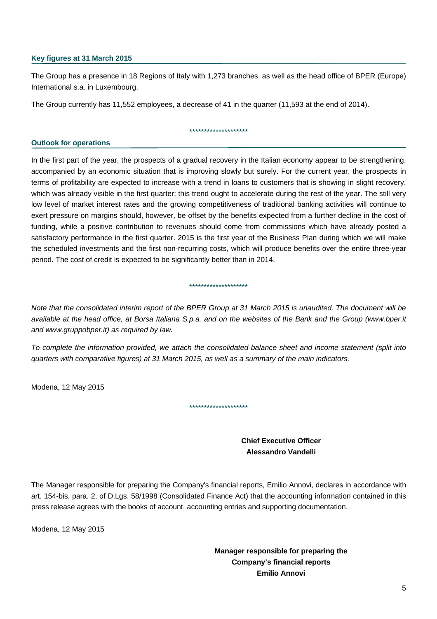### **Key figures at 31 March 2015**

The Group has a presence in 18 Regions of Italy with 1,273 branches, as well as the head office of BPER (Europe) International s.a. in Luxembourg.

\*\*\*\*\*\*\*\*\*\*\*\*\*\*\*\*\*\*\*\*

The Group currently has 11,552 employees, a decrease of 41 in the quarter (11,593 at the end of 2014).

### **Outlook for operations**

In the first part of the year, the prospects of a gradual recovery in the Italian economy appear to be strengthening, accompanied by an economic situation that is improving slowly but surely. For the current year, the prospects in terms of profitability are expected to increase with a trend in loans to customers that is showing in slight recovery, which was already visible in the first quarter; this trend ought to accelerate during the rest of the year. The still very low level of market interest rates and the growing competitiveness of traditional banking activities will continue to exert pressure on margins should, however, be offset by the benefits expected from a further decline in the cost of funding, while a positive contribution to revenues should come from commissions which have already posted a satisfactory performance in the first quarter. 2015 is the first year of the Business Plan during which we will make the scheduled investments and the first non-recurring costs, which will produce benefits over the entire three-year period. The cost of credit is expected to be significantly better than in 2014.

*Note that the consolidated interim report of the BPER Group at 31 March 2015 is unaudited. The document will be available at the head office, at Borsa Italiana S.p.a. and on the websites of the Bank and the Group (www.bper.it and www.gruppobper.it) as required by law.* 

\*\*\*\*\*\*\*\*\*\*\*\*\*\*\*\*\*\*\*\*

*To complete the information provided, we attach the consolidated balance sheet and income statement (split into quarters with comparative figures) at 31 March 2015, as well as a summary of the main indicators.* 

\*\*\*\*\*\*\*\*\*\*\*\*\*\*\*\*\*\*\*\*

Modena, 12 May 2015

 **Chief Executive Officer Alessandro Vandelli** 

The Manager responsible for preparing the Company's financial reports, Emilio Annovi, declares in accordance with art. 154-bis, para. 2, of D.Lgs. 58/1998 (Consolidated Finance Act) that the accounting information contained in this press release agrees with the books of account, accounting entries and supporting documentation.

Modena, 12 May 2015

 **Manager responsible for preparing the Company's financial reports Emilio Annovi**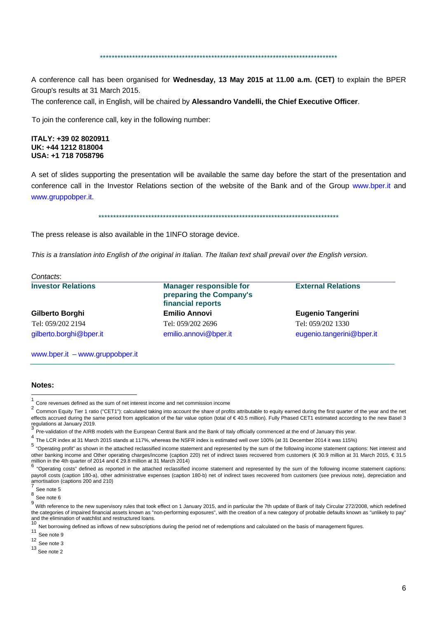### \*\*\*\*\*\*\*\*\*\*\*\*\*\*\*\*\*\*\*\*\*\*\*\*\*\*\*\*\*\*\*\*\*\*\*\*\*\*\*\*\*\*\*\*\*\*\*\*\*\*\*\*\*\*\*\*\*\*\*\*\*\*\*\*\*\*\*\*\*\*\*\*\*\*\*\*\*\*\*\*\*

A conference call has been organised for **Wednesday, 13 May 2015 at 11.00 a.m. (CET)** to explain the BPER Group's results at 31 March 2015.

The conference call, in English, will be chaired by **Alessandro Vandelli, the Chief Executive Officer**.

To join the conference call, key in the following number:

#### **ITALY: +39 02 8020911 UK: +44 1212 818004 USA: +1 718 7058796**

A set of slides supporting the presentation will be available the same day before the start of the presentation and conference call in the Investor Relations section of the website of the Bank and of the Group www.bper.it and www.gruppobper.it.

\*\*\*\*\*\*\*\*\*\*\*\*\*\*\*\*\*\*\*\*\*\*\*\*\*\*\*\*\*\*\*\*\*\*\*\*\*\*\*\*\*\*\*\*\*\*\*\*\*\*\*\*\*\*\*\*\*\*\*\*\*\*\*\*\*\*\*\*\*\*\*\*\*\*\*\*\*\*\*\*\*\*

The press release is also available in the 1INFO storage device.

*This is a translation into English of the original in Italian. The Italian text shall prevail over the English version.* 

| <b>Investor Relations</b> | <b>Manager responsible for</b><br>preparing the Company's<br>financial reports | <b>External Relations</b> |
|---------------------------|--------------------------------------------------------------------------------|---------------------------|
| Gilberto Borghi           | <b>Emilio Annovi</b>                                                           | <b>Eugenio Tangerini</b>  |
| Tel: 059/202 2194         | Tel: 059/202 2696                                                              | Tel: 059/202 1330         |
| gilberto.borghi@bper.it   | emilio.annovi@bper.it                                                          | eugenio.tangerini@bper.it |

#### **Notes:**

l

<sup>11</sup> See note 9

 $12 \text{ See note } 3$ 

13 See note 2

<sup>&</sup>lt;sup>1</sup> Core revenues defined as the sum of net interest income and net commission income  $\frac{2}{5}$ 

<sup>2</sup> Common Equity Tier 1 ratio ("CET1"): calculated taking into account the share of profits attributable to equity earned during the first quarter of the year and the net effects accrued during the same period from application of the fair value option (total of € 40.5 million). Fully Phased CET1 estimated according to the new Basel 3 regulations at January 2019.

<sup>3</sup> Pre-validation of the AIRB models with the European Central Bank and the Bank of Italy officially commenced at the end of January this year.

<sup>4</sup> The LCR index at 31 March 2015 stands at 117%, whereas the NSFR index is estimated well over 100% (at 31 December 2014 it was 115%)

<sup>5 &</sup>quot;Operating profit" as shown in the attached reclassified income statement and represented by the sum of the following income statement captions: Net interest and other banking income and Other operating charges/income (caption 220) net of indirect taxes recovered from customers (€ 30.9 million at 31 March 2015, € 31.5 million in the 4th quarter of 2014 and  $\epsilon$  29.8 million at 31 March 2014)<br>6  $\frac{1}{6}$ 

<sup>6</sup> "Operating costs" defined as reported in the attached reclassified income statement and represented by the sum of the following income statement captions: payroll costs (caption 180-a), other administrative expenses (caption 180-b) net of indirect taxes recovered from customers (see previous note), depreciation and amortisation (captions 200 and 210)

See note 5

<sup>8</sup> See note 6

<sup>&</sup>lt;sup>9</sup> With reference to the new supervisory rules that took effect on 1 January 2015, and in particular the 7th update of Bank of Italy Circular 272/2008, which redefined the categories of impaired financial assets known as "non-performing exposures", with the creation of a new category of probable defaults known as "unlikely to pay" and the elimination of watchlist and restructured loans.<br> $10_{\text{MeV}}$ 

Net borrowing defined as inflows of new subscriptions during the period net of redemptions and calculated on the basis of management figures.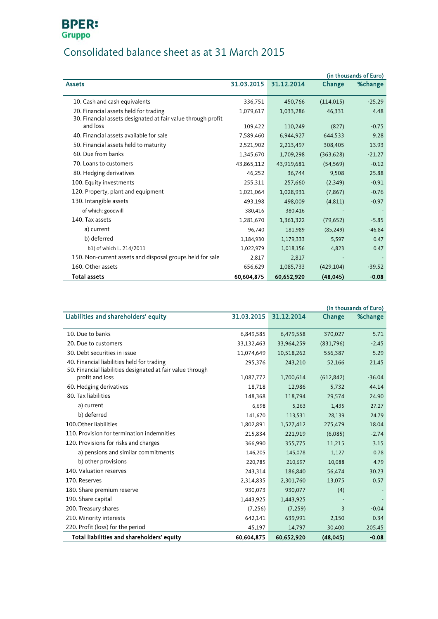# **BPER:**<br>Gruppo

## Consolidated balance sheet as at 31 March 2015

|                                                              |            |            |            | (in thousands of Euro) |
|--------------------------------------------------------------|------------|------------|------------|------------------------|
| <b>Assets</b>                                                | 31.03.2015 | 31.12.2014 | Change     | %change                |
|                                                              |            |            |            |                        |
| 10. Cash and cash equivalents                                | 336,751    | 450,766    | (114, 015) | $-25.29$               |
| 20. Financial assets held for trading                        | 1,079,617  | 1,033,286  | 46,331     | 4.48                   |
| 30. Financial assets designated at fair value through profit |            |            |            |                        |
| and loss                                                     | 109,422    | 110,249    | (827)      | $-0.75$                |
| 40. Financial assets available for sale                      | 7,589,460  | 6,944,927  | 644,533    | 9.28                   |
| 50. Financial assets held to maturity                        | 2,521,902  | 2,213,497  | 308,405    | 13.93                  |
| 60. Due from banks                                           | 1,345,670  | 1,709,298  | (363, 628) | $-21.27$               |
| 70. Loans to customers                                       | 43,865,112 | 43,919,681 | (54, 569)  | $-0.12$                |
| 80. Hedging derivatives                                      | 46,252     | 36,744     | 9,508      | 25.88                  |
| 100. Equity investments                                      | 255,311    | 257,660    | (2,349)    | $-0.91$                |
| 120. Property, plant and equipment                           | 1,021,064  | 1,028,931  | (7, 867)   | $-0.76$                |
| 130. Intangible assets                                       | 493,198    | 498,009    | (4,811)    | $-0.97$                |
| of which: goodwill                                           | 380,416    | 380,416    |            |                        |
| 140. Tax assets                                              | 1,281,670  | 1,361,322  | (79, 652)  | $-5.85$                |
| a) current                                                   | 96,740     | 181,989    | (85, 249)  | $-46.84$               |
| b) deferred                                                  | 1,184,930  | 1,179,333  | 5,597      | 0.47                   |
| b1) of which L. 214/2011                                     | 1,022,979  | 1,018,156  | 4,823      | 0.47                   |
| 150. Non-current assets and disposal groups held for sale    | 2,817      | 2,817      |            |                        |
| 160. Other assets                                            | 656,629    | 1,085,733  | (429, 104) | $-39.52$               |
| <b>Total assets</b>                                          | 60,604,875 | 60,652,920 | (48, 045)  | $-0.08$                |

<span id="page-6-0"></span>

|                                                            |            |            |            | (in thousands of Euro) |
|------------------------------------------------------------|------------|------------|------------|------------------------|
| Liabilities and shareholders' equity                       | 31.03.2015 | 31.12.2014 | Change     | %change                |
|                                                            |            |            |            |                        |
| 10. Due to banks                                           | 6,849,585  | 6,479,558  | 370,027    | 5.71                   |
| 20. Due to customers                                       | 33,132,463 | 33,964,259 | (831,796)  | $-2.45$                |
| 30. Debt securities in issue                               | 11,074,649 | 10,518,262 | 556,387    | 5.29                   |
| 40. Financial liabilities held for trading                 | 295,376    | 243,210    | 52,166     | 21.45                  |
| 50. Financial liabilities designated at fair value through |            |            |            |                        |
| profit and loss                                            | 1,087,772  | 1,700,614  | (612, 842) | $-36.04$               |
| 60. Hedging derivatives                                    | 18,718     | 12,986     | 5,732      | 44.14                  |
| 80. Tax liabilities                                        | 148,368    | 118,794    | 29,574     | 24.90                  |
| a) current                                                 | 6,698      | 5,263      | 1,435      | 27.27                  |
| b) deferred                                                | 141,670    | 113,531    | 28,139     | 24.79                  |
| 100. Other liabilities                                     | 1,802,891  | 1,527,412  | 275,479    | 18.04                  |
| 110. Provision for termination indemnities                 | 215,834    | 221,919    | (6,085)    | $-2.74$                |
| 120. Provisions for risks and charges                      | 366,990    | 355,775    | 11,215     | 3.15                   |
| a) pensions and similar commitments                        | 146,205    | 145,078    | 1,127      | 0.78                   |
| b) other provisions                                        | 220,785    | 210,697    | 10,088     | 4.79                   |
| 140. Valuation reserves                                    | 243,314    | 186,840    | 56,474     | 30.23                  |
| 170. Reserves                                              | 2,314,835  | 2,301,760  | 13,075     | 0.57                   |
| 180. Share premium reserve                                 | 930,073    | 930,077    | (4)        |                        |
| 190. Share capital                                         | 1,443,925  | 1,443,925  |            |                        |
| 200. Treasury shares                                       | (7, 256)   | (7, 259)   | 3          | $-0.04$                |
| 210. Minority interests                                    | 642,141    | 639,991    | 2,150      | 0.34                   |
| 220. Profit (loss) for the period                          | 45,197     | 14,797     | 30,400     | 205.45                 |
| Total liabilities and shareholders' equity                 | 60.604.875 | 60,652,920 | (48.045)   | $-0.08$                |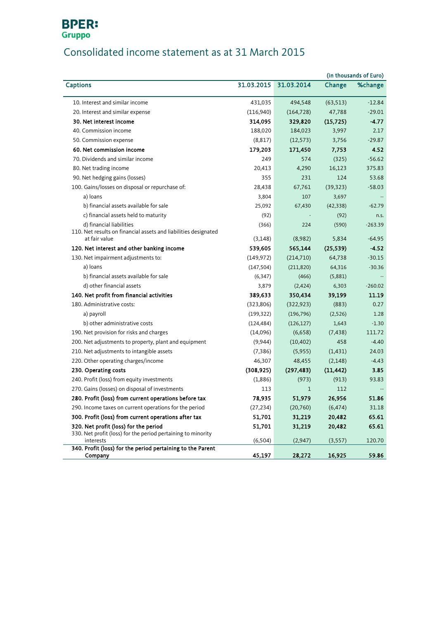## **BPER:** Gruppo

## Consolidated income statement as at 31 March 2015

|                                                                           |            |            |           | (in thousands of Euro) |
|---------------------------------------------------------------------------|------------|------------|-----------|------------------------|
| <b>Captions</b>                                                           | 31.03.2015 | 31.03.2014 | Change    | %change                |
| 10. Interest and similar income                                           | 431,035    | 494,548    | (63, 513) | $-12.84$               |
| 20. Interest and similar expense                                          | (116,940)  | (164, 728) | 47,788    | $-29.01$               |
| 30. Net interest income                                                   | 314,095    | 329,820    | (15, 725) | $-4.77$                |
| 40. Commission income                                                     | 188,020    | 184,023    | 3,997     | 2.17                   |
| 50. Commission expense                                                    | (8, 817)   | (12, 573)  | 3,756     | $-29.87$               |
| 60. Net commission income                                                 | 179,203    | 171,450    | 7,753     | 4.52                   |
| 70. Dividends and similar income                                          | 249        | 574        | (325)     | $-56.62$               |
| 80. Net trading income                                                    | 20,413     | 4,290      | 16,123    | 375.83                 |
| 90. Net hedging gains (losses)                                            | 355        | 231        | 124       | 53.68                  |
| 100. Gains/losses on disposal or repurchase of:                           | 28,438     | 67,761     | (39, 323) | $-58.03$               |
| a) loans                                                                  | 3,804      | 107        | 3,697     |                        |
| b) financial assets available for sale                                    | 25,092     | 67,430     | (42, 338) | $-62.79$               |
| c) financial assets held to maturity                                      | (92)       |            | (92)      | n.s.                   |
| d) financial liabilities                                                  | (366)      | 224        | (590)     | $-263.39$              |
| 110. Net results on financial assets and liabilities designated           |            |            |           |                        |
| at fair value                                                             | (3, 148)   | (8,982)    | 5,834     | $-64.95$               |
| 120. Net interest and other banking income                                | 539,605    | 565,144    | (25, 539) | $-4.52$                |
| 130. Net impairment adjustments to:                                       | (149, 972) | (214, 710) | 64,738    | $-30.15$               |
| a) loans                                                                  | (147, 504) | (211, 820) | 64,316    | $-30.36$               |
| b) financial assets available for sale                                    | (6, 347)   | (466)      | (5,881)   |                        |
| d) other financial assets                                                 | 3,879      | (2, 424)   | 6,303     | $-260.02$              |
| 140. Net profit from financial activities                                 | 389,633    | 350,434    | 39,199    | 11.19                  |
| 180. Administrative costs:                                                | (323, 806) | (322, 923) | (883)     | 0.27                   |
| a) payroll                                                                | (199, 322) | (196, 796) | (2,526)   | 1.28                   |
| b) other administrative costs                                             | (124, 484) | (126, 127) | 1,643     | $-1.30$                |
| 190. Net provision for risks and charges                                  | (14,096)   | (6,658)    | (7, 438)  | 111.72                 |
| 200. Net adjustments to property, plant and equipment                     | (9,944)    | (10, 402)  | 458       | $-4.40$                |
| 210. Net adjustments to intangible assets                                 | (7, 386)   | (5,955)    | (1, 431)  | 24.03                  |
| 220. Other operating charges/income                                       | 46,307     | 48,455     | (2, 148)  | $-4.43$                |
| 230. Operating costs                                                      | (308, 925) | (297, 483) | (11, 442) | 3.85                   |
| 240. Profit (loss) from equity investments                                | (1,886)    | (973)      | (913)     | 93.83                  |
| 270. Gains (losses) on disposal of investments                            | 113        | 1          | 112       |                        |
| 280. Profit (loss) from current operations before tax                     | 78,935     | 51,979     | 26,956    | 51.86                  |
| 290. Income taxes on current operations for the period                    | (27, 234)  | (20, 760)  | (6, 474)  | 31.18                  |
| 300. Profit (loss) from current operations after tax                      | 51,701     | 31,219     | 20,482    | 65.61                  |
| 320. Net profit (loss) for the period                                     | 51,701     | 31,219     | 20,482    | 65.61                  |
| 330. Net profit (loss) for the period pertaining to minority<br>interests | (6, 504)   | (2,947)    | (3, 557)  | 120.70                 |
| 340. Profit (loss) for the period pertaining to the Parent                |            |            |           |                        |
| Company                                                                   | 45,197     | 28,272     | 16,925    | 59.86                  |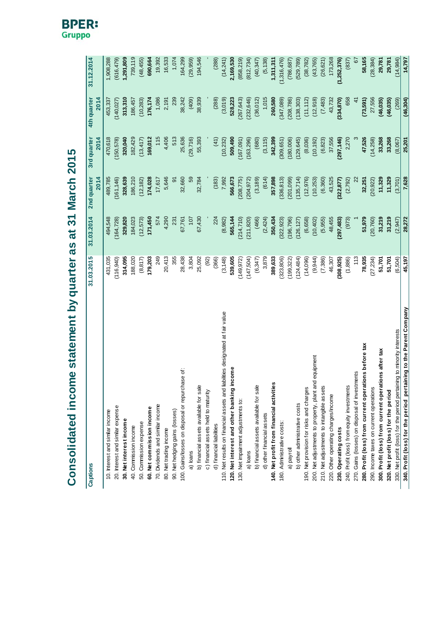Consolidated income statement by quarter as at 31 March 2015 **Consolidated income statement by quarter as at 31 March 2015**

| <b>Captions</b>                                                               | 31.03.2015 | 31.03.2014 | 2nd quarter<br>2014 | 3rd quarter<br><b>2014</b> | 4th quarter<br>2014 | 31.12.2014  |
|-------------------------------------------------------------------------------|------------|------------|---------------------|----------------------------|---------------------|-------------|
| 10. Interest and similar income                                               | 431,035    | 494,548    | 489,785             | 470,618                    | 453,337             | 1,908,288   |
| 20. Interest and similar expense                                              | (116, 940) | (164, 728) | (161, 146)          | (150,578)                  | (140, 027)          | (616, 479)  |
| 30. Net interest income                                                       | 314,095    | 329,820    | 328,639             | 320,040                    | 313,310             | 1,291,809   |
| 40. Commission income                                                         | 188,020    | 184,023    | 186,210             | 182,429                    | 186,457             | 739,119     |
| 50. Commission expense                                                        | (8, 817)   | (12, 573)  | (12, 182)           | (13, 417)                  | (10, 283)           | (48, 455)   |
| 60. Net commission income                                                     | 179,203    | 171,450    | 174,028             | 169,012                    | 176,174             | 690,664     |
| 70. Dividends and similar income                                              | 249        | 574        | 17,617              | 115                        | 1,086               | 19,392      |
| 80. Net trading income                                                        | 20,413     | 4,290      | 5,646               | 4,406                      | 2,191               | 16,533      |
| 90. Net hedging gains (losses)                                                | 355        | 231        | $\overline{5}$      | 513                        | 239                 | 1,074       |
| 100. Gains/losses on disposal or repurchase of:                               | 28,438     | 67,761     | 32,660              | 25,636                     | 38,242              | 164,299     |
| a) loans                                                                      | 3,804      | 107        | S9                  | (29, 716)                  | (409)               | (29, 959)   |
| b) financial assets available for sale                                        | 25,092     | 67,430     | 32,784              | 55,393                     | 38,939              | 194,546     |
| c) financial assets held to maturity                                          | (92)       |            |                     |                            |                     |             |
| d) financial liabilities                                                      | (366)      | 224        | (183)               | (41)                       | (288)               | (288)       |
| 110. Net results on financial assets and liabilities designated at fair value | (3, 148)   | (8,982)    | 7,992               | (10, 232)                  | (3,019)             | (14, 241)   |
| 120. Net interest and other banking income                                    | 539,605    | 565,144    | 566,673             | 509,490                    | 528,223             | 2,169,530   |
| 130. Net impairment adjustments to:                                           | (149, 972) | (214, 710) | (208, 775)          | (167,091)                  | (267, 643)          | (858, 219)  |
| a) loans                                                                      | (147,504)  | (211, 820) | (204, 972)          | (163, 296)                 | (232, 646)          | (812, 734)  |
| b) financial assets available for sale                                        | (6,347)    | (466)      | (3, 189)            | (680)                      | (36, 012)           | (40, 347)   |
| d) other financial assets                                                     | 3,879      | (2, 424)   | (614)               | (3, 115)                   | 1,015               | (5, 138)    |
| 140. Net profit from financial activities                                     | 389,633    | 350,434    | 357,898             | 342,399                    | 260,580             | 1,311,311   |
| 180. Administrative costs:                                                    | (323, 806) | (322, 923) | (336, 813)          | 309,651                    | (347,089)           | (1,316,476) |
| lloyroll                                                                      | (199, 322) | (196, 796) | (201,099)           | (180,006)                  | (208, 786)          | (786, 687)  |
| b) other administrative costs                                                 | (124, 484) | (126, 127) | (135, 714)          | (129, 645)                 | (138, 303)          | (529, 789)  |
| 190. Net provision for risks and charges                                      | (14,096)   | (6,658)    | (12, 976)           | (8,036)                    | (11, 112)           | (38, 782)   |
| 200. Net adjustments to property, plant and equipment                         | (9, 944)   | (10, 402)  | (10, 253)           | (10, 192)                  | (12,918)            | (43, 765)   |
| 210. Net adjustments to intangible assets                                     | (7,386)    | (5,955)    | (6,360)             | (6, 823)                   | (7,483)             | (26, 621)   |
| 220. Other operating charges/income                                           | 46,307     | 48,455     | 43,525              | 37,556                     | 43,732              | 173,268     |
| 230. Operating costs                                                          | (308, 925) | (297, 483) | (322, 877)          | (297, 146)                 | (334, 870)          | (1,252,376) |
| 240. Profit (loss) from equity investments                                    | (1,886)    | (973)      | (2,792)             | 2,270                      | 658                 | (837)       |
| 270. Gains (losses) on disposal of investments                                | 113        |            |                     |                            | $rac{4}{4}$         | 6           |
| 280. Profit (loss) from current operations before tax                         | 78,935     | 51,979     | 32,251              | 47,526                     | (73, 591)           | 58,165      |
| 290. Income taxes on current operations                                       | (27, 234)  | (20, 760)  | (20, 922)           | (14, 258)                  | 27,556              | (28, 384)   |
| ions after tax<br>300. Profit (loss) from current operati                     | 51,701     | 31,219     | 11,329              | 33,268                     | (46, 035)           | 29,781      |
| 320. Net profit (loss) for the period                                         | 51,701     | 31,219     | 11,329              | 33,268                     | (46, 035)           | 29,781      |
| 330. Net profit (loss) for the period pertaining to minority interests        | (6,504)    | (2, 947)   | (3,701)             | (8,067)                    | (269)               | (14, 984)   |
| 340. Profit (loss) for the period pertaining to the Parent Company            | 45,197     | 28,272     | 7,628               | 25,201                     | (46, 304)           | 14,797      |

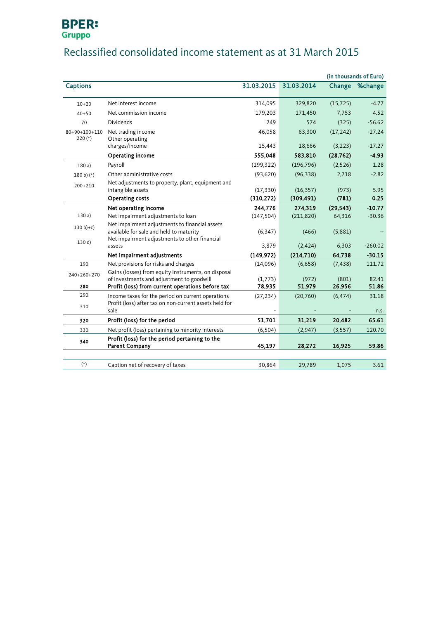# **BPER:**<br>Gruppo

## Reclassified consolidated income statement as at 31 March 2015

|                 |                                                                                                                                            |            |            |           | (in thousands of Euro) |
|-----------------|--------------------------------------------------------------------------------------------------------------------------------------------|------------|------------|-----------|------------------------|
| <b>Captions</b> |                                                                                                                                            | 31.03.2015 | 31.03.2014 |           | Change %change         |
| $10 + 20$       | Net interest income                                                                                                                        | 314,095    | 329,820    | (15, 725) | $-4.77$                |
| $40 + 50$       | Net commission income                                                                                                                      | 179,203    | 171,450    | 7,753     | 4.52                   |
| 70              | <b>Dividends</b>                                                                                                                           | 249        | 574        | (325)     | $-56.62$               |
| 80+90+100+110   | Net trading income                                                                                                                         | 46,058     | 63,300     | (17, 242) | $-27.24$               |
| $220(*)$        | Other operating<br>charges/income                                                                                                          | 15,443     | 18,666     | (3,223)   | $-17.27$               |
|                 | Operating income                                                                                                                           | 555,048    | 583,810    | (28, 762) | $-4.93$                |
| 180a)           | Payroll                                                                                                                                    | (199, 322) | (196, 796) | (2,526)   | 1.28                   |
| $180 b)$ (*)    | Other administrative costs                                                                                                                 | (93,620)   | (96, 338)  | 2,718     | $-2.82$                |
| $200+210$       | Net adjustments to property, plant, equipment and<br>intangible assets                                                                     | (17, 330)  | (16, 357)  | (973)     | 5.95                   |
|                 | Operating costs                                                                                                                            | (310, 272) | (309, 491) | (781)     | 0.25                   |
|                 | Net operating income                                                                                                                       | 244,776    | 274,319    | (29, 543) | $-10.77$               |
| 130a)           | Net impairment adjustments to loan                                                                                                         | (147, 504) | (211, 820) | 64,316    | $-30.36$               |
| $130 b + c$     | Net impairment adjustments to financial assets<br>available for sale and held to maturity<br>Net impairment adjustments to other financial | (6, 347)   | (466)      | (5,881)   |                        |
| 130 d)          | assets                                                                                                                                     | 3,879      | (2,424)    | 6,303     | $-260.02$              |
|                 | Net impairment adjustments                                                                                                                 | (149, 972) | (214, 710) | 64,738    | $-30.15$               |
| 190             | Net provisions for risks and charges                                                                                                       | (14,096)   | (6,658)    | (7, 438)  | 111.72                 |
| 240+260+270     | Gains (losses) from equity instruments, on disposal<br>of investments and adjustment to goodwill                                           | (1,773)    | (972)      | (801)     | 82.41                  |
| 280             | Profit (loss) from current operations before tax                                                                                           | 78,935     | 51,979     | 26,956    | 51.86                  |
| 290             | Income taxes for the period on current operations                                                                                          | (27, 234)  | (20,760)   | (6, 474)  | 31.18                  |
| 310             | Profit (loss) after tax on non-current assets held for<br>sale                                                                             |            |            |           | n.s.                   |
| 320             | Profit (loss) for the period                                                                                                               | 51,701     | 31,219     | 20,482    | 65.61                  |
| 330             | Net profit (loss) pertaining to minority interests                                                                                         | (6, 504)   | (2,947)    | (3,557)   | 120.70                 |
| 340             | Profit (loss) for the period pertaining to the<br><b>Parent Company</b>                                                                    | 45,197     | 28,272     | 16,925    | 59.86                  |
|                 |                                                                                                                                            |            |            |           |                        |
| $(\star)$       | Caption net of recovery of taxes                                                                                                           | 30,864     | 29,789     | 1,075     | 3.61                   |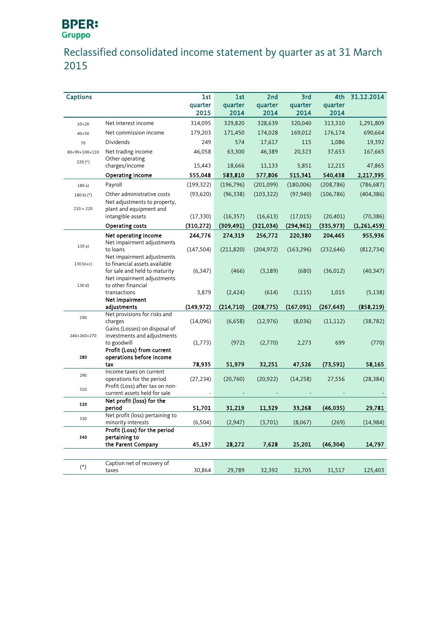# **BPER:**<br>Gruppo

## Reclassified consolidated income statement by quarter as at 31 March 2015

| <b>Captions</b> |                                                              | 1st        | 1st        | 2nd        | 3rd        | 4th        | 31.12.2014    |
|-----------------|--------------------------------------------------------------|------------|------------|------------|------------|------------|---------------|
|                 |                                                              | quarter    | quarter    | quarter    | quarter    | quarter    |               |
|                 |                                                              | 2015       | 2014       | 2014       | 2014       | 2014       |               |
| $10 + 20$       | Net interest income                                          | 314,095    | 329,820    | 328,639    | 320,040    | 313,310    | 1,291,809     |
| $40 + 50$       | Net commission income                                        | 179,203    | 171,450    | 174,028    | 169,012    | 176,174    | 690,664       |
| 70              | <b>Dividends</b>                                             | 249        | 574        | 17,617     | 115        | 1,086      | 19,392        |
| 80+90+100+110   | Net trading income                                           | 46,058     | 63,300     | 46,389     | 20,323     | 37,653     | 167,665       |
| $220(*)$        | Other operating                                              |            |            |            |            |            |               |
|                 | charges/income                                               | 15,443     | 18,666     | 11,133     | 5,851      | 12,215     | 47,865        |
|                 | Operating income                                             | 555,048    | 583,810    | 577,806    | 515,341    | 540,438    | 2,217,395     |
| 180a)           | Payroll                                                      | (199, 322) | (196, 796) | (201,099)  | (180,006)  | (208, 786) | (786, 687)    |
| 180 b) (*)      | Other administrative costs                                   | (93, 620)  | (96, 338)  | (103, 322) | (97, 940)  | (106, 786) | (404, 386)    |
|                 | Net adjustments to property,                                 |            |            |            |            |            |               |
| $210 + 220$     | plant and equipment and                                      |            |            |            |            |            |               |
|                 | intangible assets                                            | (17, 330)  | (16, 357)  | (16,613)   | (17, 015)  | (20, 401)  | (70, 386)     |
|                 | Operating costs                                              | (310, 272) | (309, 491) | (321, 034) | (294, 961) | (335, 973) | (1, 261, 459) |
|                 | Net operating income                                         | 244,776    | 274,319    | 256,772    | 220,380    | 204,465    | 955,936       |
| 130a            | Net impairment adjustments                                   |            |            |            |            |            |               |
|                 | to loans                                                     | (147, 504) | (211, 820) | (204, 972) | (163, 296) | (232, 646) | (812, 734)    |
| $130 b)+c)$     | Net impairment adjustments<br>to financial assets available  |            |            |            |            |            |               |
|                 | for sale and held to maturity                                | (6, 347)   | (466)      | (3, 189)   | (680)      | (36, 012)  | (40, 347)     |
|                 | Net impairment adjustments                                   |            |            |            |            |            |               |
| 130 d)          | to other financial                                           |            |            |            |            |            |               |
|                 | transactions                                                 | 3,879      | (2, 424)   | (614)      | (3, 115)   | 1,015      | (5, 138)      |
|                 | Net impairment                                               |            |            |            |            |            |               |
|                 | adjustments                                                  | (149, 972) | (214, 710) | (208, 775) | (167, 091) | (267, 643) | (858, 219)    |
| 190             | Net provisions for risks and                                 |            |            |            |            |            |               |
|                 | charges                                                      | (14,096)   | (6,658)    | (12, 976)  | (8,036)    | (11, 112)  | (38, 782)     |
| 240+260+270     | Gains (Losses) on disposal of<br>investments and adjustments |            |            |            |            |            |               |
|                 | to goodwill                                                  | (1,773)    | (972)      | (2,770)    | 2,273      | 699        | (770)         |
|                 | Profit (Loss) from current                                   |            |            |            |            |            |               |
| 280             | operations before income                                     |            |            |            |            |            |               |
|                 | tax                                                          | 78,935     | 51,979     | 32,251     | 47,526     | (73, 591)  | 58,165        |
| 290             | Income taxes on current                                      |            |            |            |            |            |               |
|                 | operations for the period                                    | (27, 234)  | (20, 760)  | (20, 922)  | (14, 258)  | 27,556     | (28, 384)     |
| 310             | Profit (Loss) after tax on non-                              |            |            |            |            |            |               |
|                 | current assets held for sale<br>Net profit (loss) for the    |            |            |            |            |            |               |
| 320             | period                                                       | 51,701     | 31,219     | 11,329     | 33,268     | (46, 035)  | 29,781        |
|                 | Net profit (loss) pertaining to                              |            |            |            |            |            |               |
| 330             | minority interests                                           | (6, 504)   | (2,947)    | (3,701)    | (8,067)    | (269)      | (14, 984)     |
|                 | Profit (Loss) for the period                                 |            |            |            |            |            |               |
| 340             | pertaining to                                                |            |            |            |            |            |               |
|                 | the Parent Company                                           | 45,197     | 28,272     | 7,628      | 25,201     | (46, 304)  | 14,797        |
|                 |                                                              |            |            |            |            |            |               |
|                 | Caption net of recovery of                                   |            |            |            |            |            |               |
| $(\ast)$        | taxes                                                        | 30,864     | 29,789     | 32,392     | 31,705     | 31,517     | 125,403       |
|                 |                                                              |            |            |            |            |            |               |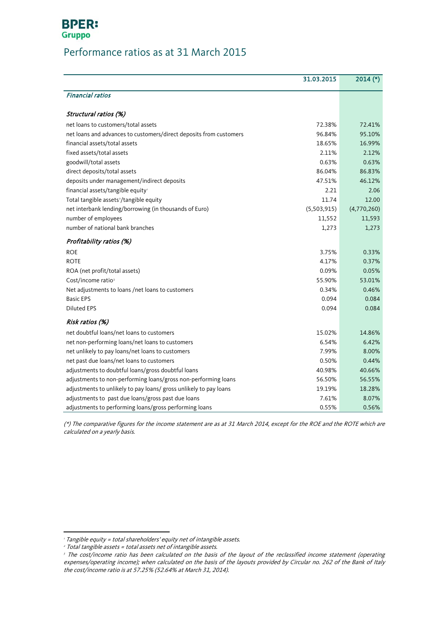### **BPER: Gruppo**

## Performance ratios as at 31 March 2015

|                                                                    | 31.03.2015  | $2014$ (*)  |
|--------------------------------------------------------------------|-------------|-------------|
| <b>Financial ratios</b>                                            |             |             |
| Structural ratios (%)                                              |             |             |
| net loans to customers/total assets                                | 72.38%      | 72.41%      |
| net loans and advances to customers/direct deposits from customers | 96.84%      | 95.10%      |
| financial assets/total assets                                      | 18.65%      | 16.99%      |
| fixed assets/total assets                                          | 2.11%       | 2.12%       |
| goodwill/total assets                                              | 0.63%       | 0.63%       |
| direct deposits/total assets                                       | 86.04%      | 86.83%      |
| deposits under management/indirect deposits                        | 47.51%      | 46.12%      |
| financial assets/tangible equity                                   | 2.21        | 2.06        |
| Total tangible assets <sup>2</sup> /tangible equity                | 11.74       | 12.00       |
| net interbank lending/borrowing (in thousands of Euro)             | (5,503,915) | (4,770,260) |
| number of employees                                                | 11,552      | 11,593      |
| number of national bank branches                                   | 1,273       | 1,273       |
| Profitability ratios (%)                                           |             |             |
| <b>ROE</b>                                                         | 3.75%       | 0.33%       |
| <b>ROTE</b>                                                        | 4.17%       | 0.37%       |
| ROA (net profit/total assets)                                      | 0.09%       | 0.05%       |
| Cost/income ratio <sup>3</sup>                                     | 55.90%      | 53.01%      |
| Net adjustments to loans /net loans to customers                   | 0.34%       | 0.46%       |
| <b>Basic EPS</b>                                                   | 0.094       | 0.084       |
| <b>Diluted EPS</b>                                                 | 0.094       | 0.084       |
| Risk ratios (%)                                                    |             |             |
| net doubtful loans/net loans to customers                          | 15.02%      | 14.86%      |
| net non-performing loans/net loans to customers                    | 6.54%       | 6.42%       |
| net unlikely to pay loans/net loans to customers                   | 7.99%       | 8.00%       |
| net past due loans/net loans to customers                          | 0.50%       | 0.44%       |
| adjustments to doubtful loans/gross doubtful loans                 | 40.98%      | 40.66%      |
| adjustments to non-performing loans/gross non-performing loans     | 56.50%      | 56.55%      |
| adjustments to unlikely to pay loans/ gross unlikely to pay loans  | 19.19%      | 18.28%      |
| adjustments to past due loans/gross past due loans                 | 7.61%       | 8.07%       |
| adjustments to performing loans/gross performing loans             | 0.55%       | 0.56%       |

(\*) The comparative figures for the income statement are as at 31 March 2014, except for the ROE and the ROTE which are calculated on a yearly basis.

<span id="page-11-2"></span> $\overline{a}$ 

<sup>&</sup>lt;sup>1</sup> Tangible equity = total shareholders' equity net of intangible assets.

<span id="page-11-0"></span><sup>2</sup> Total tangible assets = total assets net of intangible assets.

<span id="page-11-1"></span><sup>&</sup>lt;sup>3</sup> The cost/income ratio has been calculated on the basis of the layout of the reclassified income statement (operating expenses/operating income); when calculated on the basis of the layouts provided by Circular no. 262 of the Bank of Italy the cost/income ratio is at 57.25% (52.64% at March 31, 2014).